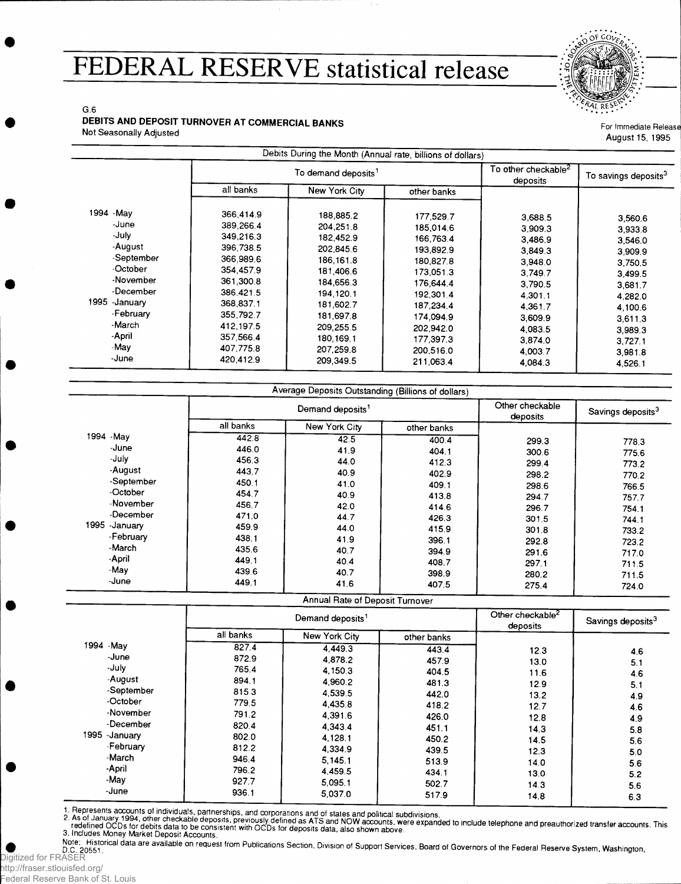## **FEDERAL RESERVE statistical release**



G.6

### **DEBITS AND DEPOSIT TURNOVER AT COMMERCIAL BANKS** Not Seasonally Adjusted

For Immediate Release August 15, 1995

|                                                                                                                                                        |                                                                                                                                                                       |                                                                                                                                                                         | Debits During the Month (Annual rate, billions of dollars)                                                                                                            |                                                                                                                                             |                                                                                                                                  |
|--------------------------------------------------------------------------------------------------------------------------------------------------------|-----------------------------------------------------------------------------------------------------------------------------------------------------------------------|-------------------------------------------------------------------------------------------------------------------------------------------------------------------------|-----------------------------------------------------------------------------------------------------------------------------------------------------------------------|---------------------------------------------------------------------------------------------------------------------------------------------|----------------------------------------------------------------------------------------------------------------------------------|
|                                                                                                                                                        |                                                                                                                                                                       | To demand deposits <sup>1</sup>                                                                                                                                         |                                                                                                                                                                       |                                                                                                                                             | To savings deposits <sup>3</sup>                                                                                                 |
|                                                                                                                                                        | all banks                                                                                                                                                             | New York City                                                                                                                                                           | other banks                                                                                                                                                           |                                                                                                                                             |                                                                                                                                  |
| 1994 - May<br>-June<br>-July<br>-August<br>-September<br>-October<br>-November<br>-December<br>1995 - January<br>-February<br>-March<br>-April<br>-May | 366,414.9<br>389,266.4<br>349,216.3<br>396,738.5<br>366,989.6<br>354,457.9<br>361,300.8<br>386.421.5<br>368,837.1<br>355,792.7<br>412.197.5<br>357,566.4<br>407.775.8 | 188,885.2<br>204.251.8<br>182,452.9<br>202,845.6<br>186,161.8<br>181,406.6<br>184,656.3<br>194, 120.1<br>181.602.7<br>181,697.8<br>209.255.5<br>180, 169.1<br>207,259.8 | 177.529.7<br>185.014.6<br>166.763.4<br>193,892.9<br>180,827.8<br>173,051.3<br>176,644.4<br>192,301.4<br>187,234.4<br>174.094.9<br>202.942.0<br>177,397.3<br>200,516.0 | 3,688.5<br>3.909.3<br>3.486.9<br>3,849.3<br>3,948.0<br>3,749.7<br>3.790.5<br>4,301.1<br>4.361.7<br>3,609.9<br>4,083.5<br>3,874.0<br>4,003.7 | 3,560.6<br>3.933.8<br>3,546.0<br>3.909.9<br>3,750.5<br>3,499.5<br>3,681.7<br>4,282.0<br>4,100.6<br>3,611.3<br>3,989.3<br>3,727.1 |
| -June                                                                                                                                                  | 420.412.9                                                                                                                                                             | 209,349.5                                                                                                                                                               | 211,063.4                                                                                                                                                             | 4,084.3                                                                                                                                     | 3.981.8<br>4,526.1                                                                                                               |

|              |                              | Average Deposits Outstanding (Billions of dollars) |             |                             |                               |
|--------------|------------------------------|----------------------------------------------------|-------------|-----------------------------|-------------------------------|
|              | Demand deposits <sup>1</sup> |                                                    |             | Other checkable<br>deposits | Savings deposits <sup>3</sup> |
|              | all banks                    | New York City                                      | other banks |                             |                               |
| 1994 - May   | 442.8                        | 42.5                                               | 400.4       | 299.3                       | 778.3                         |
| -June        | 446.0                        | 41.9                                               | 404.1       | 300.6                       | 775.6                         |
| -July        | 456.3                        | 44.0                                               | 412.3       | 299.4                       | 773.2                         |
| -August      | 443.7                        | 40.9                                               | 402.9       | 298.2                       | 770.2                         |
| -September   | 450.1                        | 41.0                                               | 409.1       | 298.6                       | 766.5                         |
| -October     | 454.7                        | 40.9                                               | 413.8       | 294.7                       | 757.7                         |
| -November    | 456.7                        | 42.0                                               | 414.6       | 296.7                       | 754.1                         |
| -December    | 471.0                        | 44.7                                               | 426.3       | 301.5                       | 744.1                         |
| 1995 January | 459.9                        | 44.0                                               | 415.9       | 301.8                       | 733.2                         |
| -February    | 438.1                        | 41.9                                               | 396.1       | 292.8                       | 723.2                         |
| -March       | 435.6                        | 40.7                                               | 394.9       | 291.6                       | 717.0                         |
| -April       | 449.1                        | 40.4                                               | 408.7       | 297.1                       | 711.5                         |
| -May         | 439.6                        | 40.7                                               | 398.9       | 280.2                       | 711.5                         |
| -June        | 449.1                        | 41.6                                               | 407.5       | 275.4                       | 724.0                         |

|                |           | Annual Rate of Deposit Turnover |             |      |                               |
|----------------|-----------|---------------------------------|-------------|------|-------------------------------|
|                |           | Demand deposits <sup>1</sup>    |             |      | Savings deposits <sup>3</sup> |
|                | all banks | New York City                   | other banks |      |                               |
| 1994 - May     | 827.4     | 4,449.3                         | 443.4       | 12.3 | 4.6                           |
| -June          | 872.9     | 4.878.2                         | 457.9       | 13.0 | 5.1                           |
| -July          | 765.4     | 4,150.3                         | 404.5       | 11.6 | 4.6                           |
| -August        | 894.1     | 4,960.2                         | 481.3       | 12.9 | 5.1                           |
| -September     | 815.3     | 4.539.5                         | 442.0       | 13.2 | 4.9                           |
| -October       | 779.5     | 4,435.8                         | 418.2       | 12.7 | 4.6                           |
| -November      | 791.2     | 4,391.6                         | 426.0       | 12.8 | 4.9                           |
| -December      | 820.4     | 4,343.4                         | 451.1       | 14.3 | 5.8                           |
| 1995 - January | 802.0     | 4.128.1                         | 450.2       | 14.5 | 5.6                           |
| -February      | 812.2     | 4,334.9                         | 439.5       | 12.3 | 5.0                           |
| -March         | 946.4     | 5,145.1                         | 513.9       | 14.0 | 5.6                           |
| -April         | 796.2     | 4,459.5                         | 434.1       | 13.0 | 5.2                           |
| -May           | 927.7     | 5.095.1                         | 502.7       | 14.3 | 5.6                           |
| -June          | 936.1     | 5,037.0                         | 517.9       | 14.8 | 6.3                           |

respressive accounts of individuals, partnerships, and corporations and of states and political subdivisions.<br>2. As of January 1994, other checkable deposits, previously defined as ATS and NOW accounts, were expanded to in

3. Includes Money Market Deposit Accounts.

Note: Historical data are available on request from Publications Section, Division of Support Services, Board of Governors of the Federal Reserve System, Washington,<br>D.C. 20551. Digitized for FRASER

http://fraser.stlouisfed.org/ Federal Reserve Bank of St. Louis